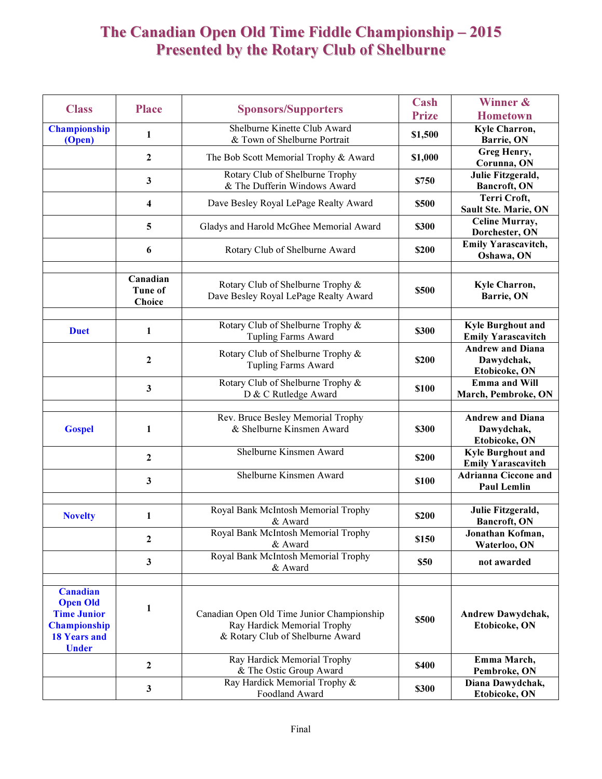## The Canadian Open Old Time Fiddle Championship – 2015 Presented by the Rotary Club of Shelburne

|                                                                                                                        |                                      |                                                                                                               | Cash         | Winner &                                               |
|------------------------------------------------------------------------------------------------------------------------|--------------------------------------|---------------------------------------------------------------------------------------------------------------|--------------|--------------------------------------------------------|
| <b>Class</b>                                                                                                           | <b>Place</b>                         | <b>Sponsors/Supporters</b>                                                                                    | <b>Prize</b> | <b>Hometown</b>                                        |
| <b>Championship</b><br>(Open)                                                                                          | 1                                    | Shelburne Kinette Club Award<br>& Town of Shelburne Portrait                                                  | \$1,500      | Kyle Charron,<br>Barrie, ON                            |
|                                                                                                                        | $\boldsymbol{2}$                     | The Bob Scott Memorial Trophy & Award                                                                         | \$1,000      | Greg Henry,<br>Corunna, ON                             |
|                                                                                                                        | $\mathbf{3}$                         | Rotary Club of Shelburne Trophy<br>& The Dufferin Windows Award                                               | \$750        | Julie Fitzgerald,<br>Bancroft, ON                      |
|                                                                                                                        | $\overline{\mathbf{4}}$              | Dave Besley Royal LePage Realty Award                                                                         | \$500        | Terri Croft,<br>Sault Ste. Marie, ON                   |
|                                                                                                                        | 5                                    | Gladys and Harold McGhee Memorial Award                                                                       | \$300        | Celine Murray,<br>Dorchester, ON                       |
|                                                                                                                        | 6                                    | Rotary Club of Shelburne Award                                                                                | \$200        | Emily Yarascavitch,<br>Oshawa, ON                      |
|                                                                                                                        | Canadian<br><b>Tune of</b><br>Choice | Rotary Club of Shelburne Trophy &<br>Dave Besley Royal LePage Realty Award                                    | \$500        | Kyle Charron,<br>Barrie, ON                            |
| <b>Duet</b>                                                                                                            | 1                                    | Rotary Club of Shelburne Trophy &<br><b>Tupling Farms Award</b>                                               | \$300        | <b>Kyle Burghout and</b><br><b>Emily Yarascavitch</b>  |
|                                                                                                                        | $\mathbf{2}$                         | Rotary Club of Shelburne Trophy &<br><b>Tupling Farms Award</b>                                               | \$200        | <b>Andrew and Diana</b><br>Dawydchak,<br>Etobicoke, ON |
|                                                                                                                        | $\mathbf{3}$                         | Rotary Club of Shelburne Trophy &<br>D & C Rutledge Award                                                     | \$100        | Emma and Will<br>March, Pembroke, ON                   |
| <b>Gospel</b>                                                                                                          | 1                                    | Rev. Bruce Besley Memorial Trophy<br>& Shelburne Kinsmen Award                                                | \$300        | <b>Andrew and Diana</b><br>Dawydchak,<br>Etobicoke, ON |
|                                                                                                                        | $\mathbf{2}$                         | Shelburne Kinsmen Award                                                                                       | \$200        | <b>Kyle Burghout and</b><br><b>Emily Yarascavitch</b>  |
|                                                                                                                        | 3                                    | Shelburne Kinsmen Award                                                                                       | \$100        | <b>Adrianna Ciccone and</b><br><b>Paul Lemlin</b>      |
| <b>Novelty</b>                                                                                                         | 1                                    | Royal Bank McIntosh Memorial Trophy<br>& Award                                                                | \$200        | Julie Fitzgerald,<br>Bancroft, ON                      |
|                                                                                                                        | $\mathbf{2}$                         | Royal Bank McIntosh Memorial Trophy<br>& Award                                                                | \$150        | Jonathan Kofman.<br>Waterloo, ON                       |
|                                                                                                                        | $\mathbf{3}$                         | Royal Bank McIntosh Memorial Trophy<br>& Award                                                                | \$50         | not awarded                                            |
| <b>Canadian</b><br><b>Open Old</b><br><b>Time Junior</b><br><b>Championship</b><br><b>18 Years and</b><br><b>Under</b> | 1                                    | Canadian Open Old Time Junior Championship<br>Ray Hardick Memorial Trophy<br>& Rotary Club of Shelburne Award | \$500        | Andrew Dawydchak,<br>Etobicoke, ON                     |
|                                                                                                                        | $\overline{2}$                       | Ray Hardick Memorial Trophy<br>& The Ostic Group Award                                                        | <b>\$400</b> | Emma March,<br>Pembroke, ON                            |
|                                                                                                                        | $\mathbf{3}$                         | Ray Hardick Memorial Trophy &<br>Foodland Award                                                               | \$300        | Diana Dawydchak,<br>Etobicoke, ON                      |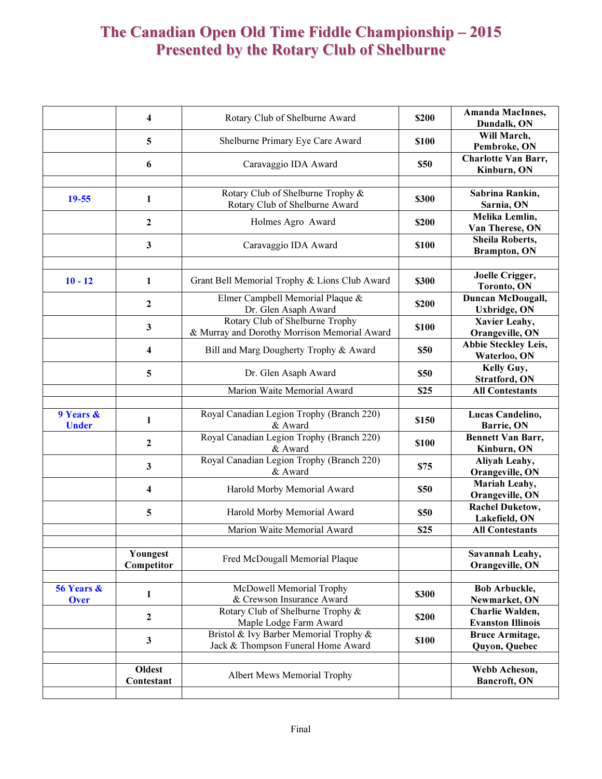## The Canadian Open Old Time Fiddle Championship – 2015 Presented by the Rotary Club of Shelburne

|                           | $\overline{\mathbf{4}}$ | Rotary Club of Shelburne Award                                                  | \$200       | Amanda MacInnes,<br>Dundalk, ON             |
|---------------------------|-------------------------|---------------------------------------------------------------------------------|-------------|---------------------------------------------|
|                           | 5                       | Shelburne Primary Eye Care Award                                                | \$100       | Will March,<br>Pembroke, ON                 |
|                           | 6                       | Caravaggio IDA Award                                                            | \$50        | <b>Charlotte Van Barr,</b><br>Kinburn, ON   |
| $19 - 55$                 | 1                       | Rotary Club of Shelburne Trophy &<br>Rotary Club of Shelburne Award             | \$300       | Sabrina Rankin,<br>Sarnia, ON               |
|                           | $\boldsymbol{2}$        | Holmes Agro Award                                                               | \$200       | Melika Lemlin,<br>Van Therese, ON           |
|                           | 3                       | Caravaggio IDA Award                                                            | \$100       | Sheila Roberts,<br><b>Brampton</b> , ON     |
| $10 - 12$                 | 1                       | Grant Bell Memorial Trophy & Lions Club Award                                   | \$300       | Joelle Crigger,<br>Toronto, ON              |
|                           | $\boldsymbol{2}$        | Elmer Campbell Memorial Plaque &<br>Dr. Glen Asaph Award                        | \$200       | Duncan McDougall,<br><b>Uxbridge</b> , ON   |
|                           | 3                       | Rotary Club of Shelburne Trophy<br>& Murray and Dorothy Morrison Memorial Award | \$100       | Xavier Leahy,<br>Orangeville, ON            |
|                           | $\overline{\mathbf{4}}$ | Bill and Marg Dougherty Trophy & Award                                          | \$50        | Abbie Steckley Leis,<br>Waterloo, ON        |
|                           | 5                       | Dr. Glen Asaph Award                                                            | <b>\$50</b> | Kelly Guy,<br>Stratford, ON                 |
|                           |                         | Marion Waite Memorial Award                                                     | \$25        | <b>All Contestants</b>                      |
| 9 Years &<br><b>Under</b> | $\mathbf{1}$            | Royal Canadian Legion Trophy (Branch 220)<br>& Award                            | \$150       | Lucas Candelino,<br>Barrie, ON              |
|                           | $\mathbf{2}$            | Royal Canadian Legion Trophy (Branch 220)<br>& Award                            | \$100       | <b>Bennett Van Barr,</b><br>Kinburn, ON     |
|                           | 3                       | Royal Canadian Legion Trophy (Branch 220)<br>& Award                            | \$75        | Aliyah Leahy,<br>Orangeville, ON            |
|                           | $\overline{\bf{4}}$     | Harold Morby Memorial Award                                                     | \$50        | Mariah Leahy,<br>Orangeville, ON            |
|                           | 5                       | Harold Morby Memorial Award                                                     | \$50        | <b>Rachel Duketow,</b><br>Lakefield, ON     |
|                           |                         | Marion Waite Memorial Award                                                     | \$25        | <b>All Contestants</b>                      |
|                           | Youngest<br>Competitor  | Fred McDougall Memorial Plaque                                                  |             | Savannah Leahy,<br>Orangeville, ON          |
| 56 Years &<br>Over        | 1                       | McDowell Memorial Trophy<br>& Crewson Insurance Award                           | \$300       | <b>Bob Arbuckle,</b><br>Newmarket, ON       |
|                           | $\overline{2}$          | Rotary Club of Shelburne Trophy &<br>Maple Lodge Farm Award                     | \$200       | Charlie Walden,<br><b>Evanston Illinois</b> |
|                           | $\mathbf{3}$            | Bristol & Ivy Barber Memorial Trophy &<br>Jack & Thompson Funeral Home Award    | \$100       | <b>Bruce Armitage,</b><br>Quyon, Quebec     |
|                           |                         |                                                                                 |             |                                             |
|                           | Oldest<br>Contestant    | Albert Mews Memorial Trophy                                                     |             | Webb Acheson,<br>Bancroft, ON               |
|                           |                         |                                                                                 |             |                                             |